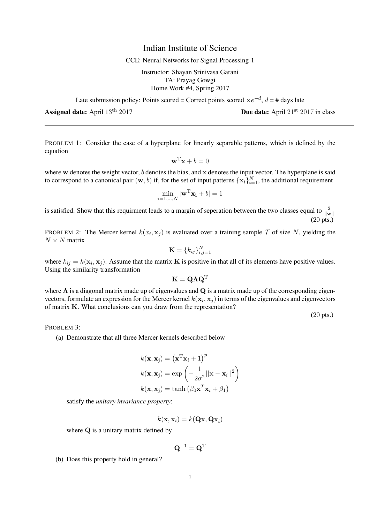## Indian Institute of Science

## CCE: Neural Networks for Signal Processing-1

Instructor: Shayan Srinivasa Garani TA: Prayag Gowgi Home Work #4, Spring 2017

Late submission policy: Points scored = Correct points scored  $\times e^{-d}$ ,  $d = \text{\# days}$  late

PROBLEM 1: Consider the case of a hyperplane for linearly separable patterns, which is defined by the equation

$$
\mathbf{w}^{\mathrm{T}}\mathbf{x} + b = 0
$$

where w denotes the weight vector, b denotes the bias, and x denotes the input vector. The hyperplane is said to correspond to a canonical pair  $(w, b)$  if, for the set of input patterns  $\{x_i\}_{i=1}^N$ , the additional requirement

$$
\min_{i=1,\dots,N} |\mathbf{w}^{\mathrm{T}}\mathbf{x_i} + b| = 1
$$

is satisfied. Show that this requirment leads to a margin of seperation between the two classes equal to  $\frac{2}{\|w\|}$ (20 pts.)

PROBLEM 2: The Mercer kernel  $k(x_i, x_j)$  is evaluated over a training sample  $\mathcal T$  of size N, yielding the  $N \times N$  matrix

$$
\mathbf{K} = \{k_{ij}\}_{i,j=1}^N
$$

where  $k_{ij} = k(\mathbf{x}_i, \mathbf{x}_j)$ . Assume that the matrix **K** is positive in that all of its elements have positive values. Using the similarity transformation

$$
\mathbf{K} = \mathbf{Q} \mathbf{\Lambda} \mathbf{Q}^{\text{T}}
$$

where  $\Lambda$  is a diagonal matrix made up of eigenvalues and Q is a matrix made up of the corresponding eigenvectors, formulate an expression for the Mercer kernel  $k(\mathbf{x}_i, \mathbf{x}_j)$  in terms of the eigenvalues and eigenvectors of matrix K. What conclusions can you draw from the representation?

(20 pts.)

PROBLEM 3:

(a) Demonstrate that all three Mercer kernels described below

$$
k(\mathbf{x}, \mathbf{x_j}) = (\mathbf{x}^{\mathrm{T}} \mathbf{x}_i + 1)^p
$$

$$
k(\mathbf{x}, \mathbf{x_j}) = \exp\left(-\frac{1}{2\sigma^2}||\mathbf{x} - \mathbf{x}_i||^2\right)
$$

$$
k(\mathbf{x}, \mathbf{x_j}) = \tanh\left(\beta_0 \mathbf{x}^T \mathbf{x}_i + \beta_1\right)
$$

satisfy the *unitary invariance property*:

$$
k(\mathbf{x},\mathbf{x}_i)=k(\mathbf{Q}\mathbf{x},\mathbf{Q}\mathbf{x}_i)
$$

where Q is a unitary matrix defined by

$$
\mathbf{Q}^{-1} = \mathbf{Q}^{\mathrm{T}}
$$

(b) Does this property hold in general?

**Assigned date:** April  $13^{th}$  2017  $\blacksquare$  **Due date:** April  $21^{st}$   $2017$  in class